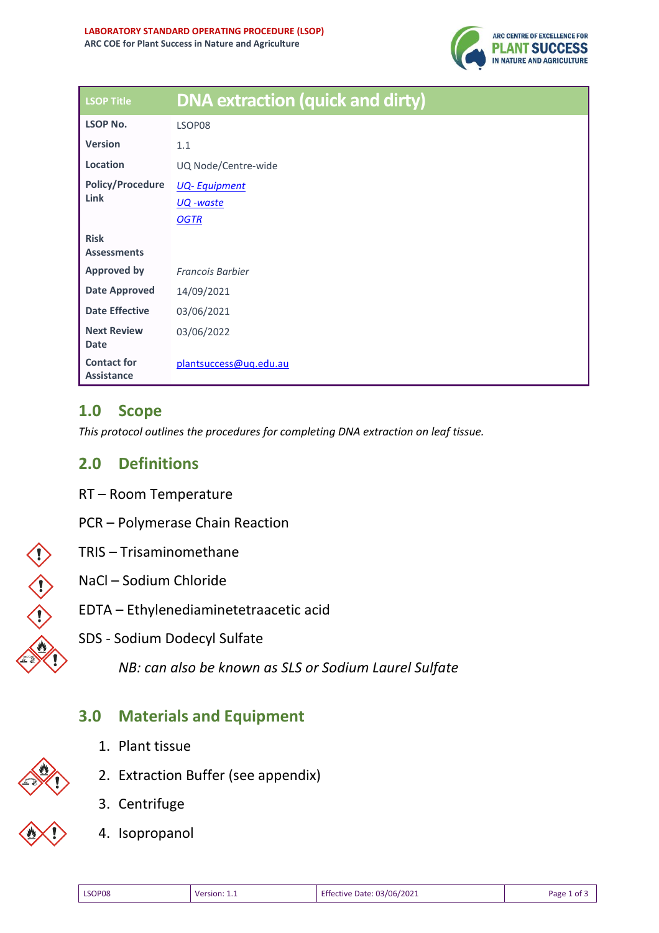

| <b>LSOP Title</b>                       | <b>DNA extraction (quick and dirty)</b> |
|-----------------------------------------|-----------------------------------------|
| <b>LSOP No.</b>                         | LSOP08                                  |
| <b>Version</b>                          | 1.1                                     |
| Location                                | UQ Node/Centre-wide                     |
| <b>Policy/Procedure</b><br>Link         | <b>UQ-Equipment</b>                     |
|                                         | <u> UQ -waste</u>                       |
|                                         | <b>OGTR</b>                             |
| <b>Risk</b><br><b>Assessments</b>       |                                         |
| <b>Approved by</b>                      | <b>Francois Barbier</b>                 |
| <b>Date Approved</b>                    | 14/09/2021                              |
| <b>Date Effective</b>                   | 03/06/2021                              |
| <b>Next Review</b><br><b>Date</b>       | 03/06/2022                              |
| <b>Contact for</b><br><b>Assistance</b> | plantsuccess@ug.edu.au                  |

#### **1.0 Scope**

*This protocol outlines the procedures for completing DNA extraction on leaf tissue.* 

### **2.0 Definitions**

- RT Room Temperature
- PCR Polymerase Chain Reaction
- TRIS Trisaminomethane



#### NaCl – Sodium Chloride

- EDTA Ethylenediaminetetraacetic acid
- SDS Sodium Dodecyl Sulfate

*NB: can also be known as SLS or Sodium Laurel Sulfate*

### **3.0 Materials and Equipment**

2. Extraction Buffer (see appendix)

1. Plant tissue





4. Isopropanol

3. Centrifuge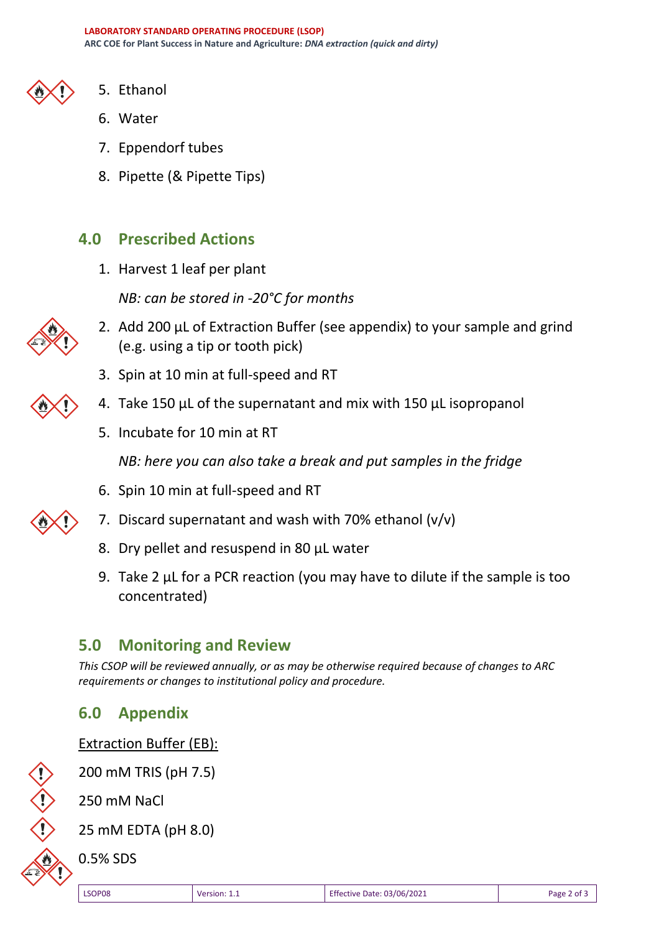- 
- 5. Ethanol
- 6. Water
- 7. Eppendorf tubes
- 8. Pipette (& Pipette Tips)

## **4.0 Prescribed Actions**

1. Harvest 1 leaf per plant

*NB: can be stored in -20°C for months*



- 2. Add 200 µL of Extraction Buffer (see appendix) to your sample and grind (e.g. using a tip or tooth pick)
- 3. Spin at 10 min at full-speed and RT
- 4. Take 150 µL of the supernatant and mix with 150 µL isopropanol
- 5. Incubate for 10 min at RT

*NB: here you can also take a break and put samples in the fridge*

- 6. Spin 10 min at full-speed and RT
- 7. Discard supernatant and wash with 70% ethanol  $(v/v)$ 
	- 8. Dry pellet and resuspend in 80 µL water
	- 9. Take 2 µL for a PCR reaction (you may have to dilute if the sample is too concentrated)

# **5.0 Monitoring and Review**

*This CSOP will be reviewed annually, or as may be otherwise required because of changes to ARC requirements or changes to institutional policy and procedure.*

### **6.0 Appendix**

**Extraction Buffer (EB):** 

200 mM TRIS (pH 7.5)

250 mM NaCl

25 mM EDTA (pH 8.0)